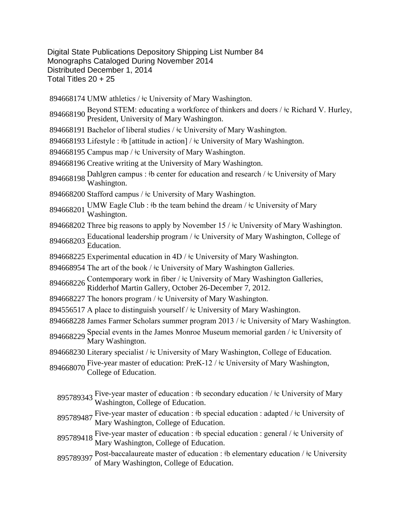Digital State Publications Depository Shipping List Number 84 Monographs Cataloged During November 2014 Distributed December 1, 2014 Total Titles 20 + 25

894668174 UMW athletics /  $\pm$ c University of Mary Washington.

- 894668190 Beyond STEM: educating a workforce of thinkers and doers / ‡c Richard V. Hurley, President, University of Mary Washington.
- 894668191 Bachelor of liberal studies /  $\pm c$  University of Mary Washington.
- 894668193 Lifestyle :  $\frac{1}{9}$  [attitude in action] /  $\frac{1}{9}$  University of Mary Washington.
- 894668195 Campus map /  $\pm$ c University of Mary Washington.
- 894668196 Creative writing at the University of Mary Washington.
- 894668198 Dahlgren campus : ‡b center for education and research / ‡c University of Mary Washington.
- 894668200 Stafford campus /  $\pm$ c University of Mary Washington.
- 894668201 UMW Eagle Club : ‡b the team behind the dream / ‡c University of Mary Washington.
- 894668202 Three big reasons to apply by November 15 /  $\pm$  University of Mary Washington.
- 894668203 Educational leadership program / ‡c University of Mary Washington, College of Education.
- 894668225 Experimental education in 4D /  $\pm$ c University of Mary Washington.
- 894668954 The art of the book /  $\pm$ c University of Mary Washington Galleries.
- <sup>894668226</sup> Contemporary work in fiber / ǂc University of Mary Washington Galleries, Ridderhof Martin Gallery, October 26-December 7, 2012.
- 894668227 The honors program /  $\pm$ c University of Mary Washington.
- 894556517 A place to distinguish yourself /  $\pm$ c University of Mary Washington.
- 894668228 James Farmer Scholars summer program 2013 /  $\pm$ c University of Mary Washington.
- 894668229 Special events in the James Monroe Museum memorial garden / ‡c University of Mary Washington.
- 894668230 Literary specialist /  $\pm$ c University of Mary Washington, College of Education.
- 894668070 Five-year master of education: PreK-12 / ‡c University of Mary Washington, College of Education.
	-
	- 895789343 Five-year master of education : ‡b secondary education / ‡c University of Mary Washington, College of Education.
	- 895789487 Five-year master of education :  $\frac{1}{2}$ b special education : adapted /  $\frac{1}{2}$ c University of Mary Washington, College of Education.
	- 895789418 Five-year master of education : ‡b special education : general / ‡c University of Mary Washington, College of Education.
	- 895789397 Post-baccalaureate master of education : ‡b elementary education / ‡c University of Mary Washington, College of Education.